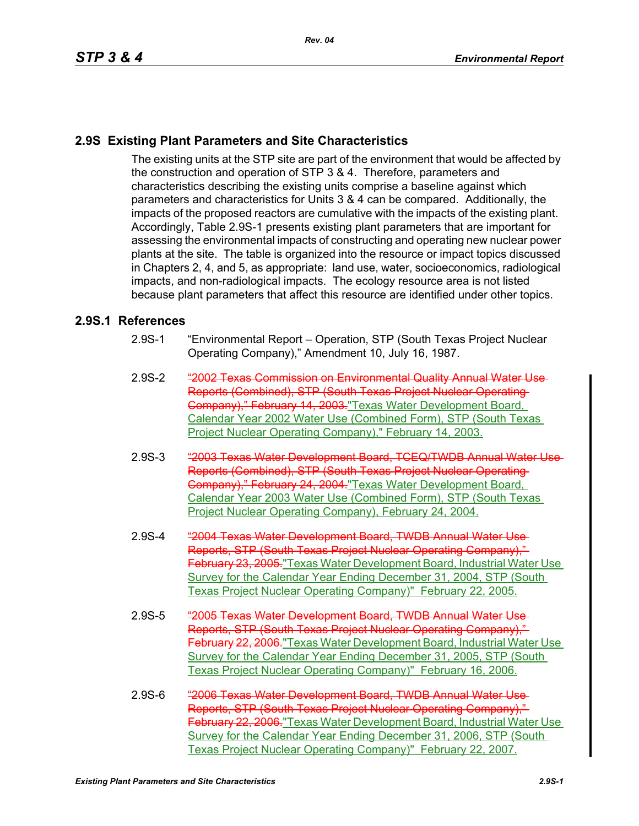## **2.9S Existing Plant Parameters and Site Characteristics**

The existing units at the STP site are part of the environment that would be affected by the construction and operation of STP 3 & 4. Therefore, parameters and characteristics describing the existing units comprise a baseline against which parameters and characteristics for Units 3 & 4 can be compared. Additionally, the impacts of the proposed reactors are cumulative with the impacts of the existing plant. Accordingly, Table 2.9S-1 presents existing plant parameters that are important for assessing the environmental impacts of constructing and operating new nuclear power plants at the site. The table is organized into the resource or impact topics discussed in Chapters 2, 4, and 5, as appropriate: land use, water, socioeconomics, radiological impacts, and non-radiological impacts. The ecology resource area is not listed because plant parameters that affect this resource are identified under other topics.

#### **2.9S.1 References**

- 2.9S-1 "Environmental Report Operation, STP (South Texas Project Nuclear Operating Company)," Amendment 10, July 16, 1987.
- 2.9S-2 "2002 Texas Commission on Environmental Quality Annual Water Use Reports (Combined), STP (South Texas Project Nuclear Operating Company)," February 14, 2003."Texas Water Development Board, Calendar Year 2002 Water Use (Combined Form), STP (South Texas Project Nuclear Operating Company)," February 14, 2003.
- 2.9S-3 "2003 Texas Water Development Board, TCEQ/TWDB Annual Water Use Reports (Combined), STP (South Texas Project Nuclear Operating Company)," February 24, 2004."Texas Water Development Board, Calendar Year 2003 Water Use (Combined Form), STP (South Texas Project Nuclear Operating Company), February 24, 2004.
- 2.9S-4 "2004 Texas Water Development Board, TWDB Annual Water Use Reports, STP (South Texas Project Nuclear Operating Company)," February 23, 2005. "Texas Water Development Board, Industrial Water Use Survey for the Calendar Year Ending December 31, 2004, STP (South Texas Project Nuclear Operating Company)" February 22, 2005.
- 2.9S-5 "2005 Texas Water Development Board, TWDB Annual Water Use Reports, STP (South Texas Project Nuclear Operating Company)," February 22, 2006."Texas Water Development Board, Industrial Water Use Survey for the Calendar Year Ending December 31, 2005, STP (South Texas Project Nuclear Operating Company)" February 16, 2006.
- 2.9S-6 "2006 Texas Water Development Board, TWDB Annual Water Use Reports, STP (South Texas Project Nuclear Operating Company)," February 22, 2006."Texas Water Development Board, Industrial Water Use Survey for the Calendar Year Ending December 31, 2006, STP (South Texas Project Nuclear Operating Company)" February 22, 2007.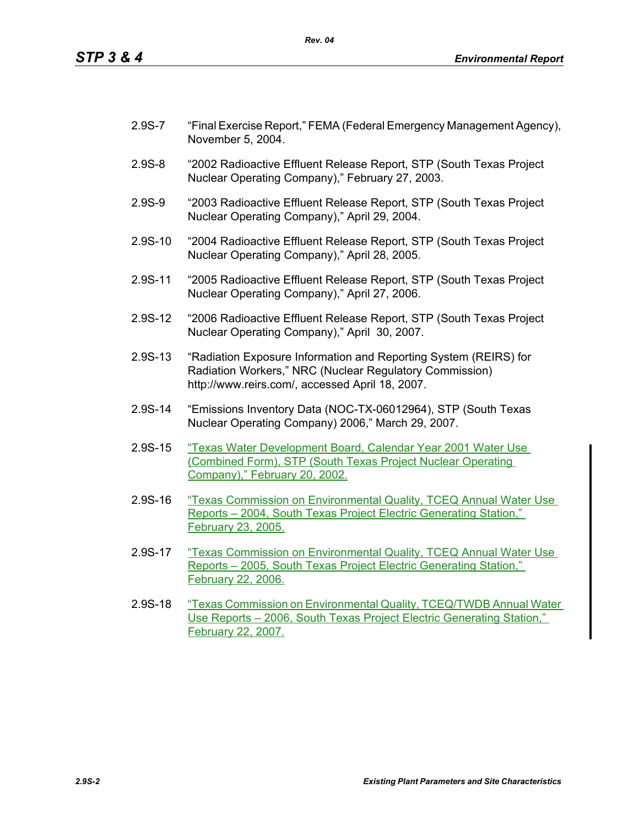- 2.9S-7 "Final Exercise Report," FEMA (Federal Emergency Management Agency), November 5, 2004.
- 2.9S-8 "2002 Radioactive Effluent Release Report, STP (South Texas Project Nuclear Operating Company)," February 27, 2003.
- 2.9S-9 "2003 Radioactive Effluent Release Report, STP (South Texas Project Nuclear Operating Company)," April 29, 2004.
- 2.9S-10 "2004 Radioactive Effluent Release Report, STP (South Texas Project Nuclear Operating Company)," April 28, 2005.
- 2.9S-11 "2005 Radioactive Effluent Release Report, STP (South Texas Project Nuclear Operating Company)," April 27, 2006.
- 2.9S-12 "2006 Radioactive Effluent Release Report, STP (South Texas Project Nuclear Operating Company)," April 30, 2007.
- 2.9S-13 "Radiation Exposure Information and Reporting System (REIRS) for Radiation Workers," NRC (Nuclear Regulatory Commission) http://www.reirs.com/, accessed April 18, 2007.
- 2.9S-14 "Emissions Inventory Data (NOC-TX-06012964), STP (South Texas Nuclear Operating Company) 2006," March 29, 2007.
- 2.9S-15 "Texas Water Development Board, Calendar Year 2001 Water Use (Combined Form), STP (South Texas Project Nuclear Operating Company)," February 20, 2002.
- 2.9S-16 "Texas Commission on Environmental Quality, TCEQ Annual Water Use Reports – 2004, South Texas Project Electric Generating Station," February 23, 2005.
- 2.9S-17 "Texas Commission on Environmental Quality, TCEQ Annual Water Use Reports – 2005, South Texas Project Electric Generating Station," February 22, 2006.
- 2.9S-18 "Texas Commission on Environmental Quality, TCEQ/TWDB Annual Water Use Reports – 2006, South Texas Project Electric Generating Station," February 22, 2007.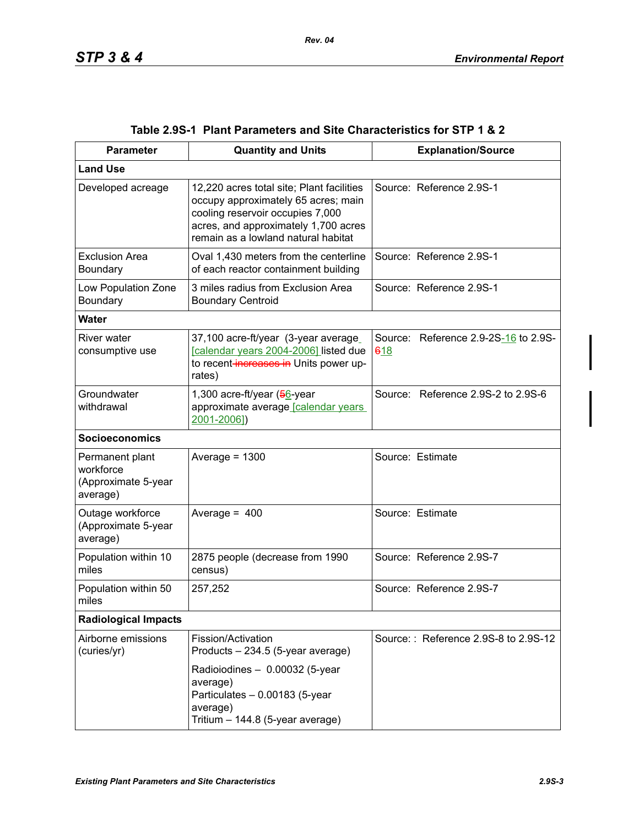| <b>Parameter</b>                                                | <b>Quantity and Units</b>                                                                                                                                                                           | <b>Explanation/Source</b>                   |
|-----------------------------------------------------------------|-----------------------------------------------------------------------------------------------------------------------------------------------------------------------------------------------------|---------------------------------------------|
| <b>Land Use</b>                                                 |                                                                                                                                                                                                     |                                             |
| Developed acreage                                               | 12,220 acres total site; Plant facilities<br>occupy approximately 65 acres; main<br>cooling reservoir occupies 7,000<br>acres, and approximately 1,700 acres<br>remain as a lowland natural habitat | Source: Reference 2.9S-1                    |
| <b>Exclusion Area</b><br>Boundary                               | Oval 1,430 meters from the centerline<br>of each reactor containment building                                                                                                                       | Source: Reference 2.9S-1                    |
| Low Population Zone<br>Boundary                                 | 3 miles radius from Exclusion Area<br><b>Boundary Centroid</b>                                                                                                                                      | Source: Reference 2.9S-1                    |
| <b>Water</b>                                                    |                                                                                                                                                                                                     |                                             |
| River water<br>consumptive use                                  | 37,100 acre-ft/year (3-year average<br>[calendar years 2004-2006] listed due<br>to recent-increases in Units power up-<br>rates)                                                                    | Source: Reference 2.9-2S-16 to 2.9S-<br>618 |
| Groundwater<br>withdrawal                                       | 1,300 acre-ft/year (56-year<br>approximate average [calendar years<br>2001-2006])                                                                                                                   | Source: Reference 2.9S-2 to 2.9S-6          |
| <b>Socioeconomics</b>                                           |                                                                                                                                                                                                     |                                             |
| Permanent plant<br>workforce<br>(Approximate 5-year<br>average) | Average = $1300$                                                                                                                                                                                    | Source: Estimate                            |
| Outage workforce<br>(Approximate 5-year<br>average)             | Average = $400$                                                                                                                                                                                     | Source: Estimate                            |
| Population within 10<br>miles                                   | 2875 people (decrease from 1990<br>census)                                                                                                                                                          | Source: Reference 2.9S-7                    |
| Population within 50<br>miles                                   | 257,252                                                                                                                                                                                             | Source: Reference 2.9S-7                    |
| <b>Radiological Impacts</b>                                     |                                                                                                                                                                                                     |                                             |
| Airborne emissions<br>(curies/yr)                               | Fission/Activation<br>Products - 234.5 (5-year average)<br>Radioiodines - 0.00032 (5-year<br>average)<br>Particulates - 0.00183 (5-year<br>average)<br>Tritium - 144.8 (5-year average)             | Source:: Reference 2.9S-8 to 2.9S-12        |

### **Table 2.9S-1 Plant Parameters and Site Characteristics for STP 1 & 2**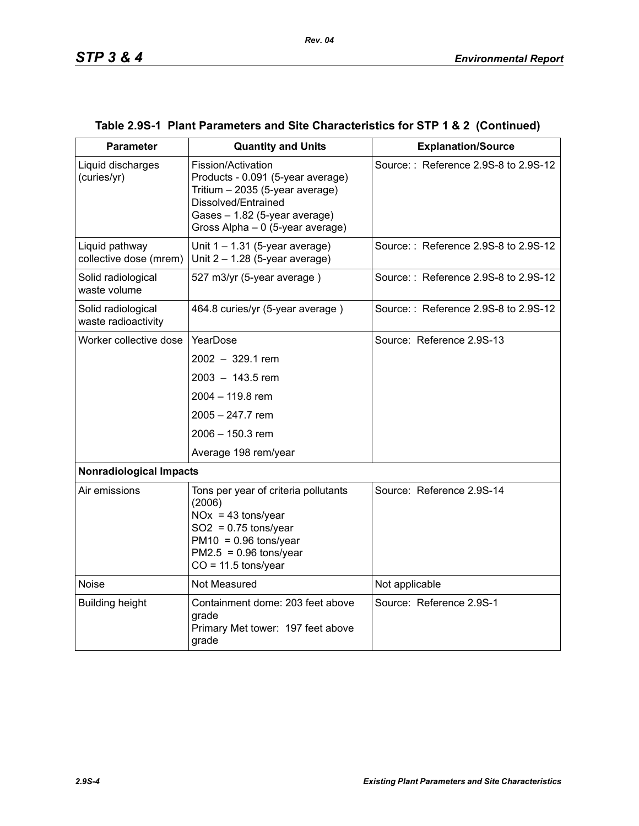| <b>Parameter</b>                          | <b>Quantity and Units</b>                                                                                                                                                              | <b>Explanation/Source</b>            |  |  |
|-------------------------------------------|----------------------------------------------------------------------------------------------------------------------------------------------------------------------------------------|--------------------------------------|--|--|
| Liquid discharges<br>(curies/yr)          | Fission/Activation<br>Products - 0.091 (5-year average)<br>Tritium - 2035 (5-year average)<br>Dissolved/Entrained<br>Gases - 1.82 (5-year average)<br>Gross Alpha - 0 (5-year average) | Source:: Reference 2.9S-8 to 2.9S-12 |  |  |
| Liquid pathway<br>collective dose (mrem)  | Unit $1 - 1.31$ (5-year average)<br>Unit $2 - 1.28$ (5-year average)                                                                                                                   | Source:: Reference 2.9S-8 to 2.9S-12 |  |  |
| Solid radiological<br>waste volume        | 527 m3/yr (5-year average)                                                                                                                                                             | Source:: Reference 2.9S-8 to 2.9S-12 |  |  |
| Solid radiological<br>waste radioactivity | 464.8 curies/yr (5-year average)                                                                                                                                                       | Source:: Reference 2.9S-8 to 2.9S-12 |  |  |
| Worker collective dose                    | YearDose                                                                                                                                                                               | Source: Reference 2.9S-13            |  |  |
|                                           | $2002 - 329.1$ rem                                                                                                                                                                     |                                      |  |  |
|                                           | $2003 - 143.5$ rem                                                                                                                                                                     |                                      |  |  |
|                                           | 2004 - 119.8 rem                                                                                                                                                                       |                                      |  |  |
|                                           | $2005 - 247.7$ rem                                                                                                                                                                     |                                      |  |  |
|                                           | 2006 - 150.3 rem                                                                                                                                                                       |                                      |  |  |
|                                           | Average 198 rem/year                                                                                                                                                                   |                                      |  |  |
| <b>Nonradiological Impacts</b>            |                                                                                                                                                                                        |                                      |  |  |
| Air emissions                             | Tons per year of criteria pollutants<br>(2006)<br>$NOx = 43$ tons/year<br>$SO2 = 0.75$ tons/year<br>$PM10 = 0.96$ tons/year<br>$PM2.5 = 0.96$ tons/year<br>$CO = 11.5$ tons/year       | Source: Reference 2.9S-14            |  |  |
| <b>Noise</b>                              | Not Measured                                                                                                                                                                           | Not applicable                       |  |  |
| <b>Building height</b>                    | Containment dome: 203 feet above<br>grade<br>Primary Met tower: 197 feet above<br>grade                                                                                                | Source: Reference 2.9S-1             |  |  |

### **Table 2.9S-1 Plant Parameters and Site Characteristics for STP 1 & 2 (Continued)**